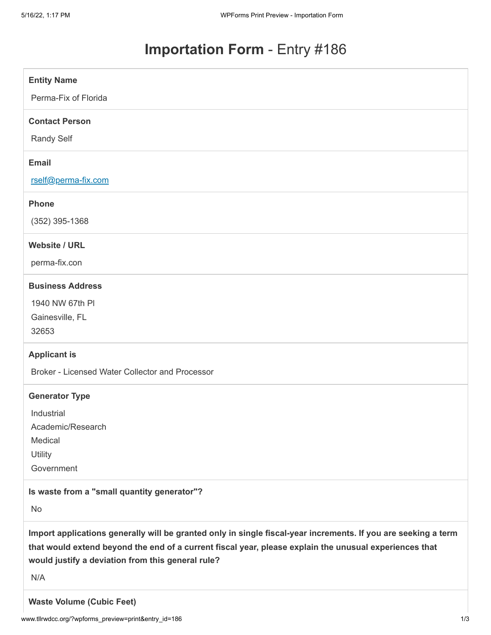## **Importation Form** - Entry #186

| <b>Entity Name</b>                                                                                                                                                                                                                                                                   |
|--------------------------------------------------------------------------------------------------------------------------------------------------------------------------------------------------------------------------------------------------------------------------------------|
| Perma-Fix of Florida                                                                                                                                                                                                                                                                 |
| <b>Contact Person</b>                                                                                                                                                                                                                                                                |
| <b>Randy Self</b>                                                                                                                                                                                                                                                                    |
| <b>Email</b>                                                                                                                                                                                                                                                                         |
| rself@perma-fix.com                                                                                                                                                                                                                                                                  |
| <b>Phone</b>                                                                                                                                                                                                                                                                         |
| $(352)$ 395-1368                                                                                                                                                                                                                                                                     |
| <b>Website / URL</b>                                                                                                                                                                                                                                                                 |
| perma-fix.con                                                                                                                                                                                                                                                                        |
| <b>Business Address</b>                                                                                                                                                                                                                                                              |
| 1940 NW 67th PI                                                                                                                                                                                                                                                                      |
| Gainesville, FL                                                                                                                                                                                                                                                                      |
| 32653                                                                                                                                                                                                                                                                                |
| <b>Applicant is</b>                                                                                                                                                                                                                                                                  |
| Broker - Licensed Water Collector and Processor                                                                                                                                                                                                                                      |
| <b>Generator Type</b>                                                                                                                                                                                                                                                                |
| Industrial                                                                                                                                                                                                                                                                           |
| Academic/Research                                                                                                                                                                                                                                                                    |
| Medical                                                                                                                                                                                                                                                                              |
| Utility                                                                                                                                                                                                                                                                              |
| Government                                                                                                                                                                                                                                                                           |
| Is waste from a "small quantity generator"?                                                                                                                                                                                                                                          |
| No                                                                                                                                                                                                                                                                                   |
| Import applications generally will be granted only in single fiscal-year increments. If you are seeking a term<br>that would extend beyond the end of a current fiscal year, please explain the unusual experiences that<br>would justify a deviation from this general rule?<br>N/A |
| <b>Waste Volume (Cubic Feet)</b>                                                                                                                                                                                                                                                     |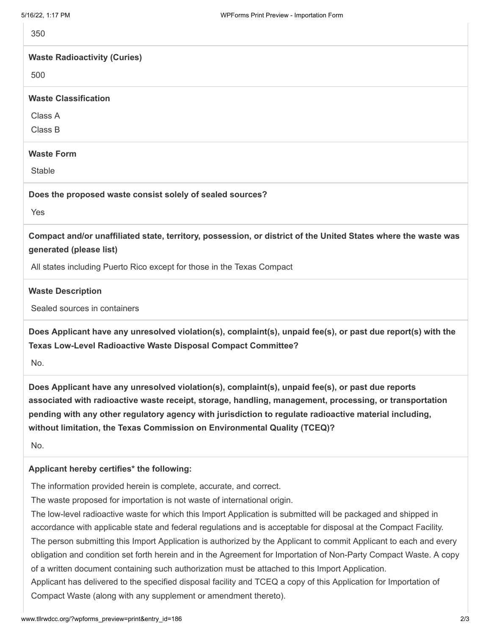| 5/16/22, 1:17 PM                                          | WPForms Print Preview - Importation Form                                                                       |
|-----------------------------------------------------------|----------------------------------------------------------------------------------------------------------------|
| 350                                                       |                                                                                                                |
| <b>Waste Radioactivity (Curies)</b>                       |                                                                                                                |
| 500                                                       |                                                                                                                |
| <b>Waste Classification</b>                               |                                                                                                                |
| Class A                                                   |                                                                                                                |
| Class B                                                   |                                                                                                                |
| <b>Waste Form</b>                                         |                                                                                                                |
| <b>Stable</b>                                             |                                                                                                                |
| Does the proposed waste consist solely of sealed sources? |                                                                                                                |
| Yes                                                       |                                                                                                                |
| generated (please list)                                   | Compact and/or unaffiliated state, territory, possession, or district of the United States where the waste was |
|                                                           | All states including Puerto Rico except for those in the Texas Compact                                         |
| <b>Waste Description</b>                                  |                                                                                                                |
| Sealed sources in containers                              |                                                                                                                |

**Does Applicant have any unresolved violation(s), complaint(s), unpaid fee(s), or past due report(s) with the Texas Low-Level Radioactive Waste Disposal Compact Committee?**

No.

**Does Applicant have any unresolved violation(s), complaint(s), unpaid fee(s), or past due reports associated with radioactive waste receipt, storage, handling, management, processing, or transportation pending with any other regulatory agency with jurisdiction to regulate radioactive material including, without limitation, the Texas Commission on Environmental Quality (TCEQ)?**

No.

## **Applicant hereby certifies\* the following:**

The information provided herein is complete, accurate, and correct.

The waste proposed for importation is not waste of international origin.

The low-level radioactive waste for which this Import Application is submitted will be packaged and shipped in accordance with applicable state and federal regulations and is acceptable for disposal at the Compact Facility. The person submitting this Import Application is authorized by the Applicant to commit Applicant to each and every obligation and condition set forth herein and in the Agreement for Importation of Non-Party Compact Waste. A copy of a written document containing such authorization must be attached to this Import Application. Applicant has delivered to the specified disposal facility and TCEQ a copy of this Application for Importation of

Compact Waste (along with any supplement or amendment thereto).